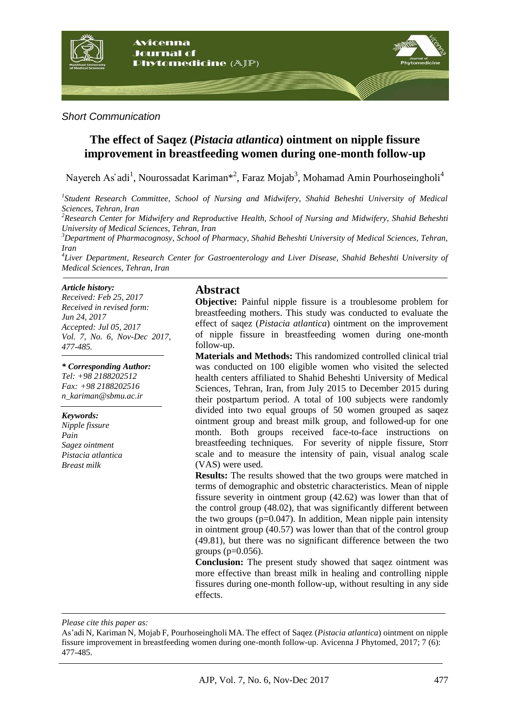

### *Short Communication*

# **The effect of Saqez (***Pistacia atlantica***) ointment on nipple fissure improvement in breastfeeding women during one-month follow-up**

Nayereh As'adi<sup>1</sup>, Nourossadat Kariman\*<sup>2</sup>, Faraz Mojab<sup>3</sup>, Mohamad Amin Pourhoseingholi<sup>4</sup>

*1 Student Research Committee, School of Nursing and Midwifery, Shahid Beheshti University of Medical Sciences, Tehran, Iran*

*<sup>2</sup>Research Center for Midwifery and Reproductive Health, School of Nursing and Midwifery, Shahid Beheshti University of Medical Sciences, Tehran, Iran*

*<sup>3</sup>Department of Pharmacognosy, School of Pharmacy, Shahid Beheshti University of Medical Sciences, Tehran, Iran*

*4 Liver Department, Research Center for Gastroenterology and Liver Disease, Shahid Beheshti University of Medical Sciences, Tehran, Iran*

#### *Article history:*

*Received: Feb 25, 2017 Received in revised form: Jun 24, 2017 Accepted: Jul 05, 2017 Vol. 7, No. 6, Nov-Dec 2017, 477-485.*

#### *\* Corresponding Author:*

*Tel: +98 2188202512 Fax: +98 2188202516 [n\\_kariman@sbmu.ac.ir](mailto:n_kariman@sbmu.ac.ir)*

#### *Keywords:*

*Nipple fissure Pain Sagez ointment Pistacia atlantica Breast milk*

### **Abstract**

**Objective:** Painful nipple fissure is a troublesome problem for breastfeeding mothers. This study was conducted to evaluate the effect of saqez (*Pistacia atlantica*) ointment on the improvement of nipple fissure in breastfeeding women during one-month follow-up.

**Materials and Methods:** This randomized controlled clinical trial was conducted on 100 eligible women who visited the selected health centers affiliated to Shahid Beheshti University of Medical Sciences, Tehran, Iran, from July 2015 to December 2015 during their postpartum period. A total of 100 subjects were randomly divided into two equal groups of 50 women grouped as saqez ointment group and breast milk group, and followed-up for one month. Both groups received face-to-face instructions on breastfeeding techniques. For severity of nipple fissure, Storr scale and to measure the intensity of pain, visual analog scale (VAS) were used.

**Results:** The results showed that the two groups were matched in terms of demographic and obstetric characteristics. Mean of nipple fissure severity in ointment group (42.62) was lower than that of the control group (48.02), that was significantly different between the two groups  $(p=0.047)$ . In addition, Mean nipple pain intensity in ointment group (40.57) was lower than that of the control group (49.81), but there was no significant difference between the two groups  $(p=0.056)$ .

**Conclusion:** The present study showed that saqez ointment was more effective than breast milk in healing and controlling nipple fissures during one-month follow-up, without resulting in any side effects.

*Please cite this paper as:* 

As'adi N, Kariman N, Mojab F, Pourhoseingholi MA. The effect of Saqez (*Pistacia atlantica*) ointment on nipple fissure improvement in breastfeeding women during one-month follow-up. Avicenna J Phytomed, 2017; 7 (6): 477-485.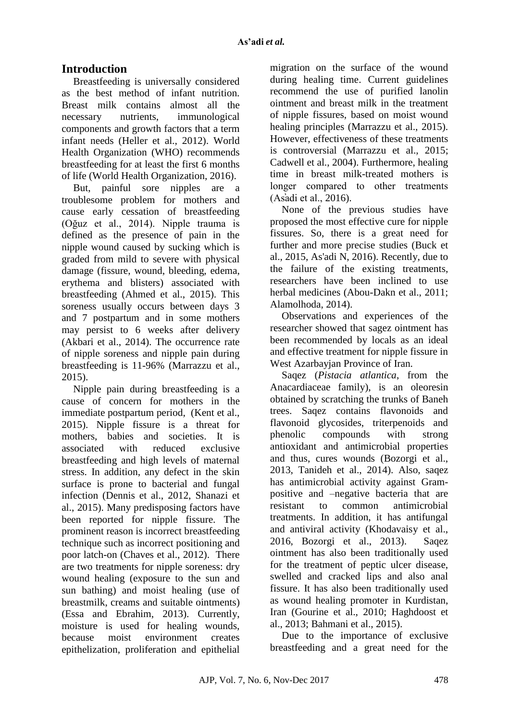# **Introduction**

Breastfeeding is universally considered as the best method of infant nutrition. Breast milk contains almost all the necessary nutrients, immunological components and growth factors that a term infant needs (Heller et al., 2012). World Health Organization (WHO) recommends breastfeeding for at least the first 6 months of life (World Health Organization, 2016).

But, painful sore nipples are a troublesome problem for mothers and cause early cessation of breastfeeding (Oğuz et al., 2014). Nipple trauma is defined as the presence of pain in the nipple wound caused by sucking which is graded from mild to severe with physical damage (fissure, wound, bleeding, edema, erythema and blisters) associated with breastfeeding (Ahmed et al., 2015). This soreness usually occurs between days 3 and 7 postpartum and in some mothers may persist to 6 weeks after delivery (Akbari et al., 2014). The occurrence rate of nipple soreness and nipple pain during breastfeeding is 11-96% (Marrazzu et al., 2015).

Nipple pain during breastfeeding is a cause of concern for mothers in the immediate postpartum period, (Kent et al., 2015). Nipple fissure is a threat for mothers, babies and societies. It is associated with reduced exclusive breastfeeding and high levels of maternal stress. In addition, any defect in the skin surface is prone to bacterial and fungal infection (Dennis et al., 2012, Shanazi et al., 2015). Many predisposing factors have been reported for nipple fissure. The prominent reason is incorrect breastfeeding technique such as incorrect positioning and poor latch-on (Chaves et al., 2012). There are two treatments for nipple soreness: dry wound healing (exposure to the sun and sun bathing) and moist healing (use of breastmilk, creams and suitable ointments) (Essa and Ebrahim, 2013). Currently, moisture is used for healing wounds, because moist environment creates epithelization, proliferation and epithelial

migration on the surface of the wound during healing time. Current guidelines recommend the use of purified lanolin ointment and breast milk in the treatment of nipple fissures, based on moist wound healing principles (Marrazzu et al., 2015). However, effectiveness of these treatments is controversial (Marrazzu et al., 2015; Cadwell et al., 2004). Furthermore, healing time in breast milk-treated mothers is longer compared to other treatments (As̕adi et al., 2016).

None of the previous studies have proposed the most effective cure for nipple fissures. So, there is a great need for further and more precise studies (Buck et al., 2015, As'adi N, 2016). Recently, due to the failure of the existing treatments, researchers have been inclined to use herbal medicines (Abou-Dakn et al., 2011; Alamolhoda, 2014).

Observations and experiences of the researcher showed that sagez ointment has been recommended by locals as an ideal and effective treatment for nipple fissure in West Azarbayian Province of Iran.

Saqez (*Pistacia atlantica*, from the Anacardiaceae family), is an oleoresin obtained by scratching the trunks of Baneh trees. Saqez contains flavonoids and flavonoid glycosides, triterpenoids and phenolic compounds with strong antioxidant and antimicrobial properties and thus, cures wounds (Bozorgi et al., 2013, Tanideh et al., 2014). Also, saqez has antimicrobial activity against Grampositive and –negative bacteria that are resistant to common antimicrobial treatments. In addition, it has antifungal and antiviral activity (Khodavaisy et al., 2016, Bozorgi et al., 2013). Saqez ointment has also been traditionally used for the treatment of peptic ulcer disease, swelled and cracked lips and also anal fissure. It has also been traditionally used as wound healing promoter in Kurdistan, Iran (Gourine et al., 2010; Haghdoost et al., 2013; Bahmani et al., 2015).

Due to the importance of exclusive breastfeeding and a great need for the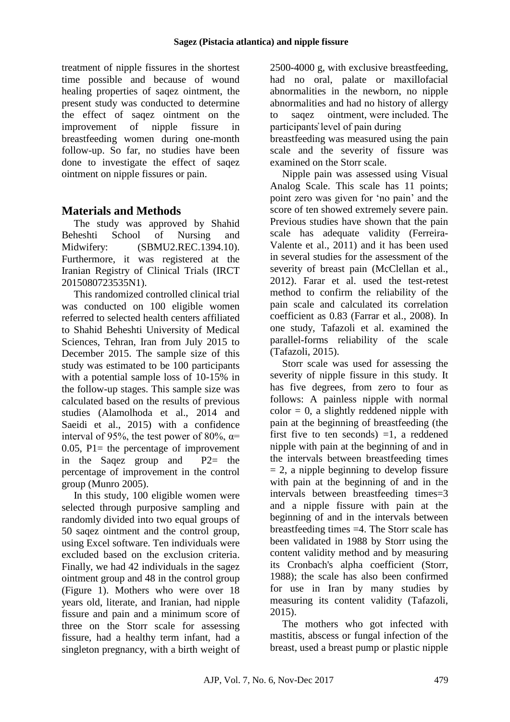treatment of nipple fissures in the shortest time possible and because of wound healing properties of saqez ointment, the present study was conducted to determine the effect of saqez ointment on the improvement of nipple fissure in breastfeeding women during one-month follow-up. So far, no studies have been done to investigate the effect of saqez ointment on nipple fissures or pain.

# **Materials and Methods**

The study was approved by Shahid Beheshti School of Nursing and Midwifery: (SBMU2.REC.1394.10). Furthermore, it was registered at the Iranian Registry of Clinical Trials (IRCT 2015080723535N1).

This randomized controlled clinical trial was conducted on 100 eligible women referred to selected health centers affiliated to Shahid Beheshti University of Medical Sciences, Tehran, Iran from July 2015 to December 2015. The sample size of this study was estimated to be 100 participants with a potential sample loss of 10-15% in the follow-up stages. This sample size was calculated based on the results of previous studies (Alamolhoda et al., 2014 and Saeidi et al., 2015) with a confidence interval of 95%, the test power of 80%,  $\alpha$ = 0.05,  $P1$  = the percentage of improvement in the Saqez group and P2= the percentage of improvement in the control group (Munro 2005).

In this study, 100 eligible women were selected through purposive sampling and randomly divided into two equal groups of 50 saqez ointment and the control group, using Excel software. Ten individuals were excluded based on the exclusion criteria. Finally, we had 42 individuals in the sagez ointment group and 48 in the control group (Figure 1). Mothers who were over 18 years old, literate, and Iranian, had nipple fissure and pain and a minimum score of three on the Storr scale for assessing fissure, had a healthy term infant, had a singleton pregnancy, with a birth weight of 2500-4000 g, with exclusive breastfeeding, had no oral, palate or maxillofacial abnormalities in the newborn, no nipple abnormalities and had no history of allergy to saqez ointment, were included. The participants̕ level of pain during

breastfeeding was measured using the pain scale and the severity of fissure was examined on the Storr scale.

Nipple pain was assessed using Visual Analog Scale. This scale has 11 points; point zero was given for 'no pain' and the score of ten showed extremely severe pain. Previous studies have shown that the pain scale has adequate validity (Ferreira-Valente et al., 2011) and it has been used in several studies for the assessment of the severity of breast pain (McClellan et al., 2012). Farar et al. used the test-retest method to confirm the reliability of the pain scale and calculated its correlation coefficient as 0.83 (Farrar et al., 2008). In one study, Tafazoli et al. examined the parallel-forms reliability of the scale (Tafazoli, 2015).

Storr scale was used for assessing the severity of nipple fissure in this study. It has five degrees, from zero to four as follows: A painless nipple with normal  $color = 0$ , a slightly reddened nipple with pain at the beginning of breastfeeding (the first five to ten seconds)  $=1$ , a reddened nipple with pain at the beginning of and in the intervals between breastfeeding times  $= 2$ , a nipple beginning to develop fissure with pain at the beginning of and in the intervals between breastfeeding times=3 and a nipple fissure with pain at the beginning of and in the intervals between breastfeeding times =4. The Storr scale has been validated in 1988 by Storr using the content validity method and by measuring its Cronbach's alpha coefficient (Storr, 1988); the scale has also been confirmed for use in Iran by many studies by measuring its content validity (Tafazoli, 2015).

The mothers who got infected with mastitis, abscess or fungal infection of the breast, used a breast pump or plastic nipple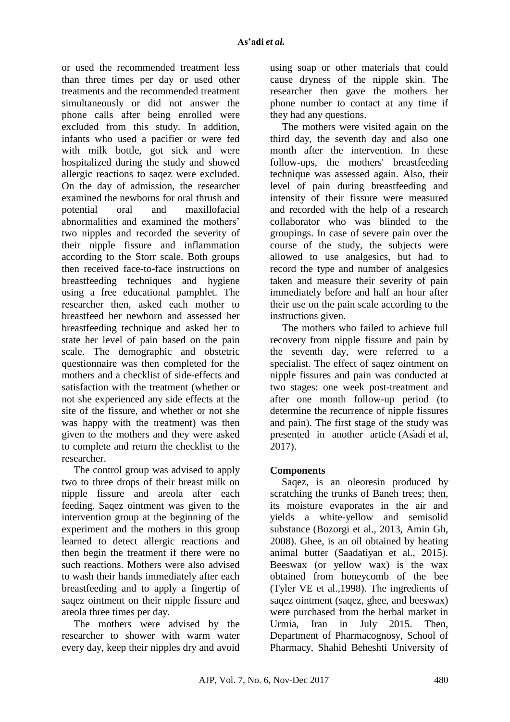or used the recommended treatment less than three times per day or used other treatments and the recommended treatment simultaneously or did not answer the phone calls after being enrolled were excluded from this study. In addition, infants who used a pacifier or were fed with milk bottle, got sick and were hospitalized during the study and showed allergic reactions to saqez were excluded. On the day of admission, the researcher examined the newborns for oral thrush and potential oral and maxillofacial abnormalities and examined the mothers' two nipples and recorded the severity of their nipple fissure and inflammation according to the Storr scale. Both groups then received face-to-face instructions on breastfeeding techniques and hygiene using a free educational pamphlet. The researcher then, asked each mother to breastfeed her newborn and assessed her breastfeeding technique and asked her to state her level of pain based on the pain scale. The demographic and obstetric questionnaire was then completed for the mothers and a checklist of side-effects and satisfaction with the treatment (whether or not she experienced any side effects at the site of the fissure, and whether or not she was happy with the treatment) was then given to the mothers and they were asked to complete and return the checklist to the researcher.

The control group was advised to apply two to three drops of their breast milk on nipple fissure and areola after each feeding. Saqez ointment was given to the intervention group at the beginning of the experiment and the mothers in this group learned to detect allergic reactions and then begin the treatment if there were no such reactions. Mothers were also advised to wash their hands immediately after each breastfeeding and to apply a fingertip of saqez ointment on their nipple fissure and areola three times per day.

The mothers were advised by the researcher to shower with warm water every day, keep their nipples dry and avoid using soap or other materials that could cause dryness of the nipple skin. The researcher then gave the mothers her phone number to contact at any time if they had any questions.

The mothers were visited again on the third day, the seventh day and also one month after the intervention. In these follow-ups, the mothers' breastfeeding technique was assessed again. Also, their level of pain during breastfeeding and intensity of their fissure were measured and recorded with the help of a research collaborator who was blinded to the groupings. In case of severe pain over the course of the study, the subjects were allowed to use analgesics, but had to record the type and number of analgesics taken and measure their severity of pain immediately before and half an hour after their use on the pain scale according to the instructions given.

The mothers who failed to achieve full recovery from nipple fissure and pain by the seventh day, were referred to a specialist. The effect of saqez ointment on nipple fissures and pain was conducted at two stages: one week post-treatment and after one month follow-up period (to determine the recurrence of nipple fissures and pain). The first stage of the study was presented in another article (As̕adi et al, 2017).

## **Components**

Saqez, is an oleoresin produced by scratching the trunks of Baneh trees; then, its moisture evaporates in the air and yields a white-yellow and semisolid substance (Bozorgi et al., 2013, Amin Gh, 2008). Ghee, is an oil obtained by heating animal butter (Saadatiyan et al., 2015). Beeswax (or yellow wax) is the wax obtained from honeycomb of the bee (Tyler VE et al.,1998). The ingredients of saqez ointment (saqez, ghee, and beeswax) were purchased from the herbal market in Urmia, Iran in July 2015. Then, Department of Pharmacognosy, School of Pharmacy, Shahid Beheshti University of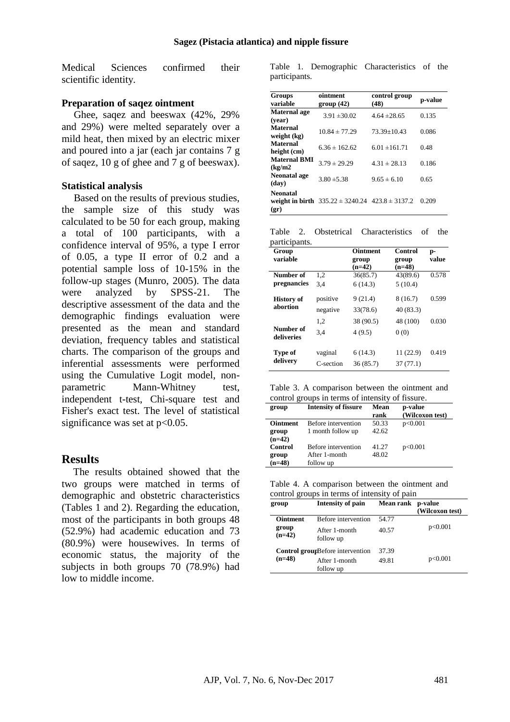Medical Sciences confirmed their scientific identity.

#### **Preparation of saqez ointment**

Ghee, saqez and beeswax (42%, 29% and 29%) were melted separately over a mild heat, then mixed by an electric mixer and poured into a jar (each jar contains 7 g of saqez, 10 g of ghee and 7 g of beeswax).

### **Statistical analysis**

Based on the results of previous studies, the sample size of this study was calculated to be 50 for each group, making a total of 100 participants, with a confidence interval of 95%, a type I error of 0.05, a type II error of 0.2 and a potential sample loss of 10-15% in the follow-up stages (Munro, 2005). The data were analyzed by SPSS-21. The descriptive assessment of the data and the demographic findings evaluation were presented as the mean and standard deviation, frequency tables and statistical charts. The comparison of the groups and inferential assessments were performed using the Cumulative Logit model, nonparametric Mann-Whitney test, independent t-test, Chi-square test and Fisher's exact test. The level of statistical significance was set at  $p<0.05$ .

## **Results**

The results obtained showed that the two groups were matched in terms of demographic and obstetric characteristics (Tables 1 and 2). Regarding the education, most of the participants in both groups 48 (52.9%) had academic education and 73 (80.9%) were housewives. In terms of economic status, the majority of the subjects in both groups 70 (78.9%) had low to middle income.

Table 1. Demographic Characteristics of the participants.

| <b>Groups</b><br>variable      | ointment<br>group(42)                                   | control group<br>(48) | p-value |
|--------------------------------|---------------------------------------------------------|-----------------------|---------|
| <b>Maternal</b> age<br>(vear)  | $3.91 \pm 30.02$                                        | $4.64 \pm 28.65$      | 0.135   |
| <b>Maternal</b><br>weight (kg) | $10.84 \pm 77.29$                                       | $73.39 + 10.43$       | 0.086   |
| <b>Maternal</b><br>height (cm) | $6.36 \pm 162.62$                                       | $6.01 \pm 161.71$     | 0.48    |
| <b>Maternal BMI</b><br>(kg/m2) | $3.79 \pm 29.29$                                        | $4.31 \pm 28.13$      | 0.186   |
| Neonatal age<br>(dav)          | $3.80 \pm 5.38$                                         | $9.65 \pm 6.10$       | 0.65    |
| <b>Neonatal</b><br>(qr)        | weight in birth $335.22 \pm 3240.24$ $423.8 \pm 3137.2$ |                       | 0.209   |

Table 2. Obstetrical Characteristics of the participants.

| рагистрания.            |           |                                      |                              |             |
|-------------------------|-----------|--------------------------------------|------------------------------|-------------|
| Group<br>variable       |           | <b>Ointment</b><br>group<br>$(n=42)$ | Control<br>group<br>$(n=48)$ | p-<br>value |
| Number of               | 1,2       | 36(85.7)                             | 43(89.6)                     | 0.578       |
| pregnancies             | 3.4       | 6(14.3)                              | 5(10.4)                      |             |
| <b>History of</b>       | positive  | 9(21.4)                              | 8(16.7)                      | 0.599       |
| abortion                | negative  | 33(78.6)                             | 40 (83.3)                    |             |
|                         | 1,2       | 38 (90.5)                            | 48 (100)                     | 0.030       |
| Number of<br>deliveries | 3.4       | 4(9.5)                               | 0(0)                         |             |
| Type of<br>delivery     | vaginal   | 6(14.3)                              | 11 (22.9)                    | 0.419       |
|                         | C-section | 36 (85.7)                            | 37(77.1)                     |             |

Table 3. A comparison between the ointment and control groups in terms of intensity of fissure.

| group           | <b>Intensity of fissure</b> | Mean  | p-value         |
|-----------------|-----------------------------|-------|-----------------|
|                 |                             | rank  | (Wilcoxon test) |
| <b>Ointment</b> | Before intervention         | 50.33 | p<0.001         |
| group           | 1 month follow up           | 42.62 |                 |
| $(n=42)$        |                             |       |                 |
| <b>Control</b>  | Before intervention         | 41.27 | p<0.001         |
| group           | After 1-month               | 48.02 |                 |
| $(n=48)$        | follow up                   |       |                 |

Table 4. A comparison between the ointment and control groups in terms of intensity of pain

| group                                | Intensity of pain                       | <b>Mean rank</b> | p-value<br>(Wilcoxon test) |
|--------------------------------------|-----------------------------------------|------------------|----------------------------|
| <b>Ointment</b><br>group<br>$(n=42)$ | Before intervention                     | 54.77            | p<0.001                    |
|                                      | After 1-month<br>follow up              | 40.57            |                            |
|                                      | <b>Control groupBefore intervention</b> | 37.39            |                            |
| $(n=48)$                             | After 1-month<br>follow up              | 49.81            | p<0.001                    |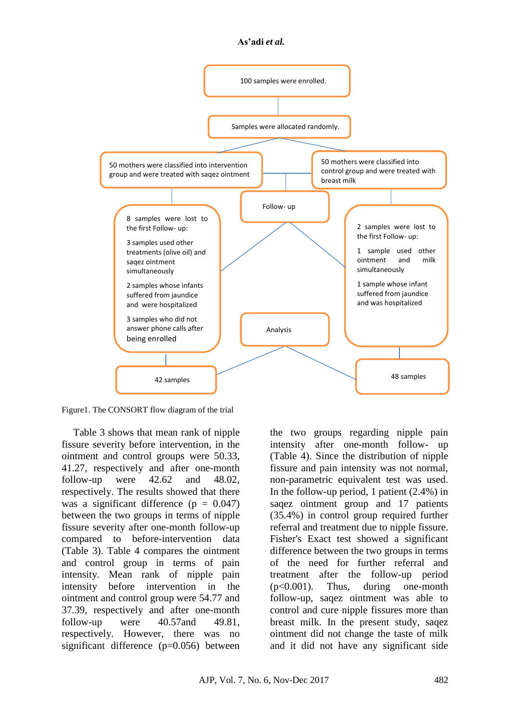#### **As'adi** *et al.*



Figure1. The CONSORT flow diagram of the trial

Table 3 shows that mean rank of nipple fissure severity before intervention, in the  $\frac{1}{2}$  control groups were 50.33, 41.27, respectively and after one-month follow-up were 42.62 and 48.02, respectively. The results showed that there was a significant difference ( $p = 0.047$ ) between the two groups in terms of nipple fissure severity after one-month follow-up compared to before-intervention data (Table 3). Table 4 compares the ointment and control group in terms of pain intensity. Mean rank of nipple pain intensity before intervention in the ointment and control group were 54.77 and 37.39, respectively and after one-month follow-up were 40.57 and 49.81, respectively. However, there was no significant difference (p=0.056) between and

the two groups regarding nipple pain intensity after one-month follow- up (Table 4). Since the distribution of nipple fissure and pain intensity was not normal, non-parametric equivalent test was used. In the follow-up period, 1 patient (2.4%) in saqez ointment group and 17 patients (35.4%) in control group required further referral and treatment due to nipple fissure. Fisher's Exact test showed a significant difference between the two groups in terms of the need for further referral and treatment after the follow-up period (p<0.001). Thus, during one-month follow-up, saqez ointment was able to control and cure nipple fissures more than breast milk. In the present study, saqez ointment did not change the taste of milk and it did not have any significant side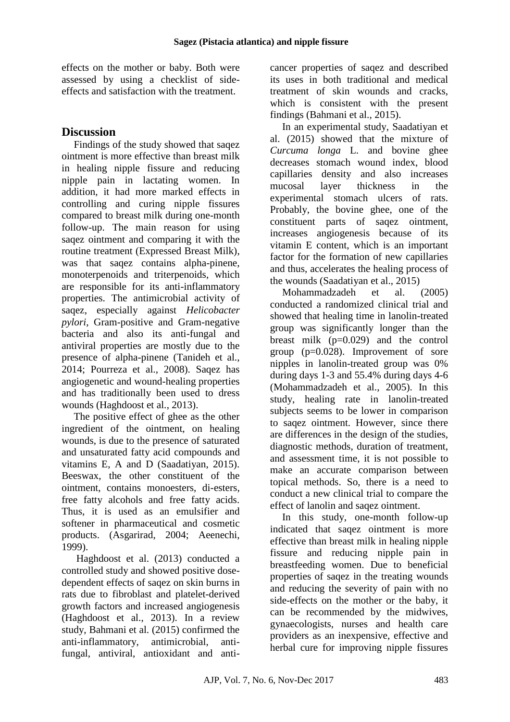effects on the mother or baby. Both were assessed by using a checklist of sideeffects and satisfaction with the treatment.

# **Discussion**

Findings of the study showed that saqez ointment is more effective than breast milk in healing nipple fissure and reducing nipple pain in lactating women. In addition, it had more marked effects in controlling and curing nipple fissures compared to breast milk during one-month follow-up. The main reason for using saqez ointment and comparing it with the routine treatment (Expressed Breast Milk), was that saqez contains alpha-pinene, monoterpenoids and triterpenoids, which are responsible for its anti-inflammatory properties. The antimicrobial activity of saqez, especially against *Helicobacter pylori*, Gram-positive and Gram-negative bacteria and also its anti-fungal and antiviral properties are mostly due to the presence of alpha-pinene (Tanideh et al., 2014; Pourreza et al., 2008). Saqez has angiogenetic and wound-healing properties and has traditionally been used to dress wounds (Haghdoost et al., 2013).

The positive effect of ghee as the other ingredient of the ointment, on healing wounds, is due to the presence of saturated and unsaturated fatty acid compounds and vitamins E, A and D (Saadatiyan, 2015). Beeswax, the other constituent of the ointment, contains monoesters, di-esters, free fatty alcohols and free fatty acids. Thus, it is used as an emulsifier and softener in pharmaceutical and cosmetic products. (Asgarirad, 2004; Aeenechi, 1999).

Haghdoost et al. (2013) conducted a controlled study and showed positive dosedependent effects of saqez on skin burns in rats due to fibroblast and platelet-derived growth factors and increased angiogenesis (Haghdoost et al., 2013). In a review study, Bahmani et al. (2015) confirmed the anti-inflammatory, antimicrobial, antifungal, antiviral, antioxidant and anticancer properties of saqez and described its uses in both traditional and medical treatment of skin wounds and cracks, which is consistent with the present findings (Bahmani et al., 2015).

In an experimental study, Saadatiyan et al. (2015) showed that the mixture of *Curcuma longa* L. and bovine ghee decreases stomach wound index, blood capillaries density and also increases mucosal layer thickness in the experimental stomach ulcers of rats. Probably, the bovine ghee, one of the constituent parts of saqez ointment, increases angiogenesis because of its vitamin E content, which is an important factor for the formation of new capillaries and thus, accelerates the healing process of the wounds (Saadatiyan et al., 2015)

Mohammadzadeh et al. (2005) conducted a randomized clinical trial and showed that healing time in lanolin-treated group was significantly longer than the breast milk  $(p=0.029)$  and the control group  $(p=0.028)$ . Improvement of sore nipples in lanolin-treated group was 0% during days 1-3 and 55.4% during days 4-6 (Mohammadzadeh et al., 2005). In this study, healing rate in lanolin-treated subjects seems to be lower in comparison to saqez ointment. However, since there are differences in the design of the studies, diagnostic methods, duration of treatment, and assessment time, it is not possible to make an accurate comparison between topical methods. So, there is a need to conduct a new clinical trial to compare the effect of lanolin and saqez ointment.

In this study, one-month follow-up indicated that saqez ointment is more effective than breast milk in healing nipple fissure and reducing nipple pain in breastfeeding women. Due to beneficial properties of saqez in the treating wounds and reducing the severity of pain with no side-effects on the mother or the baby, it can be recommended by the midwives, gynaecologists, nurses and health care providers as an inexpensive, effective and herbal cure for improving nipple fissures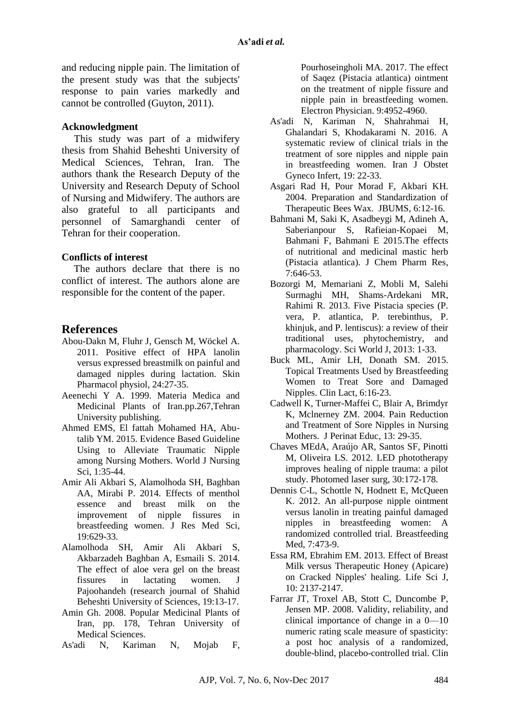and reducing nipple pain. The limitation of the present study was that the subjects' response to pain varies markedly and cannot be controlled (Guyton, 2011).

### **Acknowledgment**

This study was part of a midwifery thesis from Shahid Beheshti University of Medical Sciences, Tehran, Iran. The authors thank the Research Deputy of the University and Research Deputy of School of Nursing and Midwifery. The authors are also grateful to all participants and personnel of Samarghandi center of Tehran for their cooperation.

### **Conflicts of interest**

The authors declare that there is no conflict of interest. The authors alone are responsible for the content of the paper.

## **References**

- Abou-Dakn M, Fluhr J, Gensch M, Wöckel A. 2011. Positive effect of HPA lanolin versus expressed breastmilk on painful and damaged nipples during lactation. Skin Pharmacol physiol, 24:27-35.
- Aeenechi Y A. 1999. Materia Medica and Medicinal Plants of Iran.pp.267,Tehran University publishing.
- Ahmed EMS, El fattah Mohamed HA, Abutalib YM. 2015. Evidence Based Guideline Using to Alleviate Traumatic Nipple among Nursing Mothers. World J Nursing Sci, 1:35-44.
- Amir Ali Akbari S, Alamolhoda SH, Baghban AA, Mirabi P. 2014. Effects of menthol essence and breast milk on the improvement of nipple fissures in breastfeeding women. J Res Med Sci, 19:629-33.
- Alamolhoda SH, Amir Ali Akbari S, Akbarzadeh Baghban A, Esmaili S. 2014. The effect of aloe vera gel on the breast fissures in lactating women. J Pajoohandeh (research journal of Shahid Beheshti University of Sciences, 19:13-17.
- Amin Gh. 2008. Popular Medicinal Plants of Iran, pp. 178, Tehran University of Medical Sciences.
- As'adi N, Kariman N, Mojab F,

Pourhoseingholi MA. 2017. The effect of Saqez (Pistacia atlantica) ointment on the treatment of nipple fissure and nipple pain in breastfeeding women. Electron Physician. 9:4952-4960.

- As'adi N, Kariman N, Shahrahmai H, Ghalandari S, Khodakarami N. 2016. A systematic review of clinical trials in the treatment of sore nipples and nipple pain in breastfeeding women. Iran J Obstet Gyneco Infert, 19: 22-33.
- Asgari Rad H, Pour Morad F, Akbari KH. 2004. Preparation and Standardization of Therapeutic Bees Wax. JBUMS, 6:12-16.
- Bahmani M, Saki K, Asadbeygi M, Adineh A, Saberianpour S, Rafieian-Kopaei M, Bahmani F, Bahmani E 2015.The effects of nutritional and medicinal mastic herb (Pistacia atlantica). J Chem Pharm Res, 7:646-53.
- Bozorgi M, Memariani Z, Mobli M, Salehi Surmaghi MH, Shams-Ardekani MR, Rahimi R. 2013. Five Pistacia species (P. vera, P. atlantica, P. terebinthus, P. khinjuk, and P. lentiscus): a review of their traditional uses, phytochemistry, and pharmacology. Sci World J, 2013: 1-33.
- Buck ML, Amir LH, Donath SM. 2015. Topical Treatments Used by Breastfeeding Women to Treat Sore and Damaged Nipples. Clin Lact, 6:16-23.
- Cadwell K, Turner-Maffei C, Blair A, Brimdyr K, Mclnerney ZM. 2004. Pain Reduction and Treatment of Sore Nipples in Nursing Mothers. J Perinat Educ, 13: 29-35.
- Chaves MEdA, Araújo AR, Santos SF, Pinotti M, Oliveira LS. 2012. LED phototherapy improves healing of nipple trauma: a pilot study. Photomed laser surg, 30:172-178.
- Dennis C-L, Schottle N, Hodnett E, McQueen K. 2012. An all-purpose nipple ointment versus lanolin in treating painful damaged nipples in breastfeeding women: A randomized controlled trial. Breastfeeding Med, 7:473-9.
- Essa RM, Ebrahim EM. 2013. Effect of Breast Milk versus Therapeutic Honey (Apicare) on Cracked Nipples' healing. Life Sci J, 10: 2137-2147.
- Farrar JT, Troxel AB, Stott C, Duncombe P, Jensen MP. 2008. Validity, reliability, and clinical importance of change in a 0—10 numeric rating scale measure of spasticity: a post hoc analysis of a randomized, double-blind, placebo-controlled trial. Clin